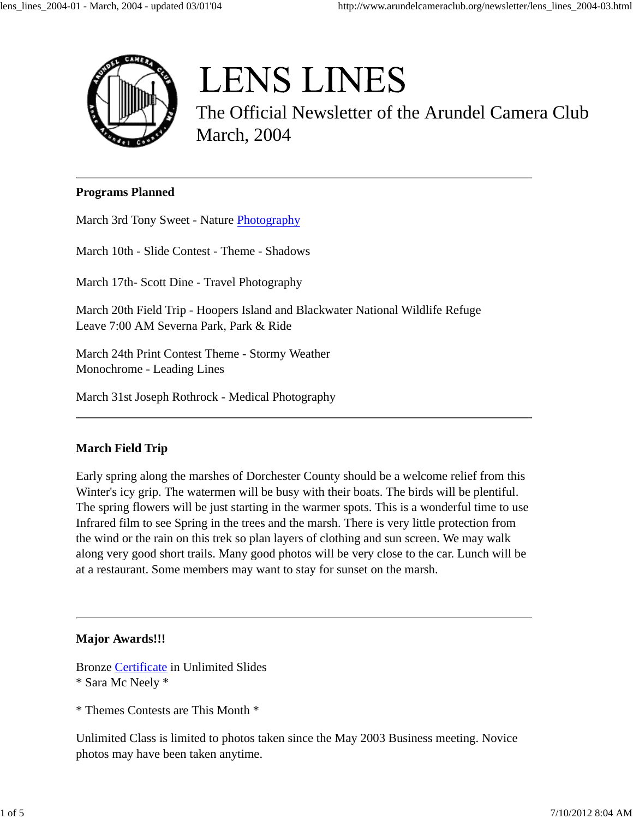

# **LENS LINES**

The Official Newsletter of the Arundel Camera Club March, 2004

### **Programs Planned**

March 3rd Tony Sweet - Nature Photography

March 10th - Slide Contest - Theme - Shadows

March 17th- Scott Dine - Travel Photography

March 20th Field Trip - Hoopers Island and Blackwater National Wildlife Refuge Leave 7:00 AM Severna Park, Park & Ride

March 24th Print Contest Theme - Stormy Weather Monochrome - Leading Lines

March 31st Joseph Rothrock - Medical Photography

## **March Field Trip**

Early spring along the marshes of Dorchester County should be a welcome relief from this Winter's icy grip. The watermen will be busy with their boats. The birds will be plentiful. The spring flowers will be just starting in the warmer spots. This is a wonderful time to use Infrared film to see Spring in the trees and the marsh. There is very little protection from the wind or the rain on this trek so plan layers of clothing and sun screen. We may walk along very good short trails. Many good photos will be very close to the car. Lunch will be at a restaurant. Some members may want to stay for sunset on the marsh.

#### **Major Awards!!!**

Bronze Certificate in Unlimited Slides \* Sara Mc Neely \*

\* Themes Contests are This Month \*

Unlimited Class is limited to photos taken since the May 2003 Business meeting. Novice photos may have been taken anytime.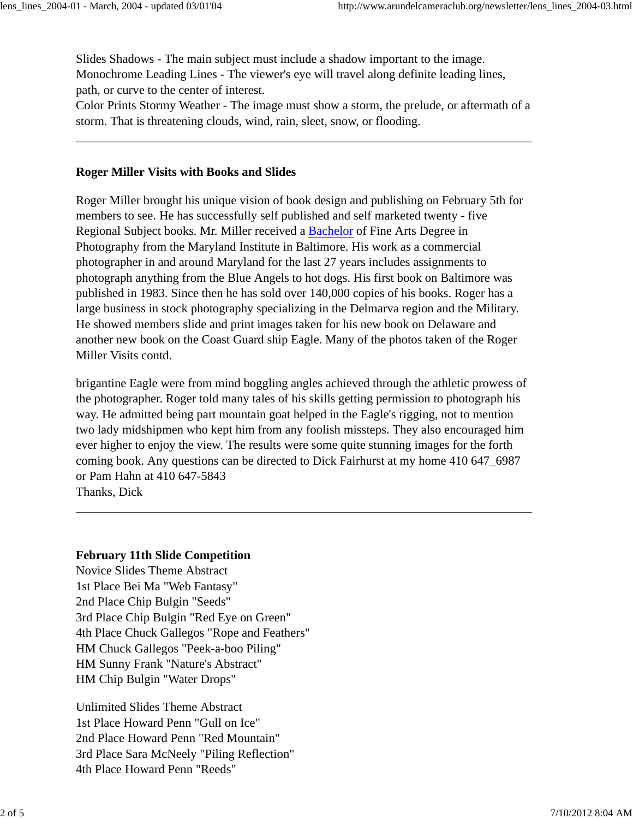Slides Shadows - The main subject must include a shadow important to the image. Monochrome Leading Lines - The viewer's eye will travel along definite leading lines, path, or curve to the center of interest.

Color Prints Stormy Weather - The image must show a storm, the prelude, or aftermath of a storm. That is threatening clouds, wind, rain, sleet, snow, or flooding.

#### **Roger Miller Visits with Books and Slides**

Roger Miller brought his unique vision of book design and publishing on February 5th for members to see. He has successfully self published and self marketed twenty - five Regional Subject books. Mr. Miller received a Bachelor of Fine Arts Degree in Photography from the Maryland Institute in Baltimore. His work as a commercial photographer in and around Maryland for the last 27 years includes assignments to photograph anything from the Blue Angels to hot dogs. His first book on Baltimore was published in 1983. Since then he has sold over 140,000 copies of his books. Roger has a large business in stock photography specializing in the Delmarva region and the Military. He showed members slide and print images taken for his new book on Delaware and another new book on the Coast Guard ship Eagle. Many of the photos taken of the Roger Miller Visits contd.

brigantine Eagle were from mind boggling angles achieved through the athletic prowess of the photographer. Roger told many tales of his skills getting permission to photograph his way. He admitted being part mountain goat helped in the Eagle's rigging, not to mention two lady midshipmen who kept him from any foolish missteps. They also encouraged him ever higher to enjoy the view. The results were some quite stunning images for the forth coming book. Any questions can be directed to Dick Fairhurst at my home 410 647\_6987 or Pam Hahn at 410 647-5843

Thanks, Dick

### **February 11th Slide Competition**

Novice Slides Theme Abstract 1st Place Bei Ma "Web Fantasy" 2nd Place Chip Bulgin "Seeds" 3rd Place Chip Bulgin "Red Eye on Green" 4th Place Chuck Gallegos "Rope and Feathers" HM Chuck Gallegos "Peek-a-boo Piling" HM Sunny Frank "Nature's Abstract" HM Chip Bulgin "Water Drops"

Unlimited Slides Theme Abstract 1st Place Howard Penn "Gull on Ice" 2nd Place Howard Penn "Red Mountain" 3rd Place Sara McNeely "Piling Reflection" 4th Place Howard Penn "Reeds"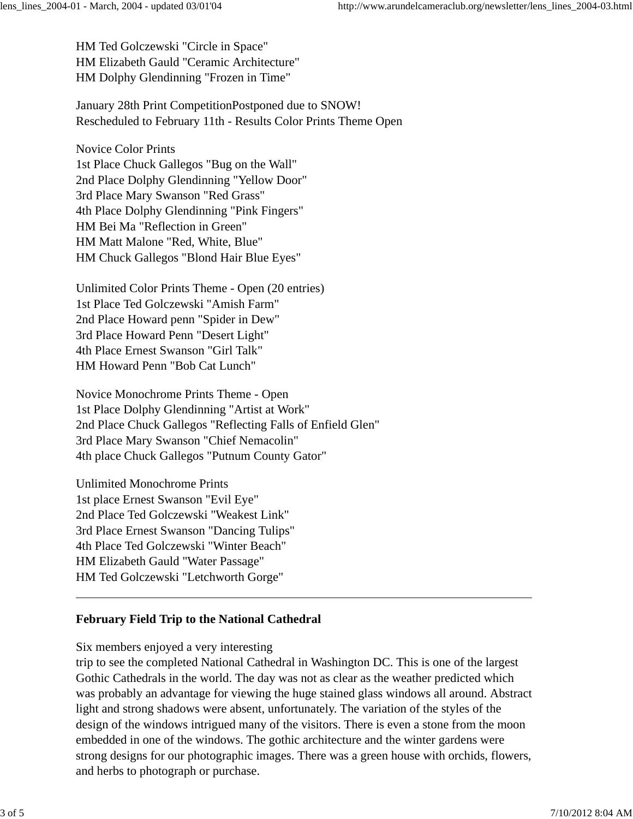HM Ted Golczewski "Circle in Space" HM Elizabeth Gauld "Ceramic Architecture" HM Dolphy Glendinning "Frozen in Time"

January 28th Print CompetitionPostponed due to SNOW! Rescheduled to February 11th - Results Color Prints Theme Open

Novice Color Prints 1st Place Chuck Gallegos "Bug on the Wall" 2nd Place Dolphy Glendinning "Yellow Door" 3rd Place Mary Swanson "Red Grass" 4th Place Dolphy Glendinning "Pink Fingers" HM Bei Ma "Reflection in Green" HM Matt Malone "Red, White, Blue" HM Chuck Gallegos "Blond Hair Blue Eyes"

Unlimited Color Prints Theme - Open (20 entries) 1st Place Ted Golczewski "Amish Farm" 2nd Place Howard penn "Spider in Dew" 3rd Place Howard Penn "Desert Light" 4th Place Ernest Swanson "Girl Talk" HM Howard Penn "Bob Cat Lunch"

Novice Monochrome Prints Theme - Open 1st Place Dolphy Glendinning "Artist at Work" 2nd Place Chuck Gallegos "Reflecting Falls of Enfield Glen" 3rd Place Mary Swanson "Chief Nemacolin" 4th place Chuck Gallegos "Putnum County Gator"

Unlimited Monochrome Prints 1st place Ernest Swanson "Evil Eye" 2nd Place Ted Golczewski "Weakest Link" 3rd Place Ernest Swanson "Dancing Tulips" 4th Place Ted Golczewski "Winter Beach" HM Elizabeth Gauld "Water Passage" HM Ted Golczewski "Letchworth Gorge"

## **February Field Trip to the National Cathedral**

Six members enjoyed a very interesting

trip to see the completed National Cathedral in Washington DC. This is one of the largest Gothic Cathedrals in the world. The day was not as clear as the weather predicted which was probably an advantage for viewing the huge stained glass windows all around. Abstract light and strong shadows were absent, unfortunately. The variation of the styles of the design of the windows intrigued many of the visitors. There is even a stone from the moon embedded in one of the windows. The gothic architecture and the winter gardens were strong designs for our photographic images. There was a green house with orchids, flowers, and herbs to photograph or purchase.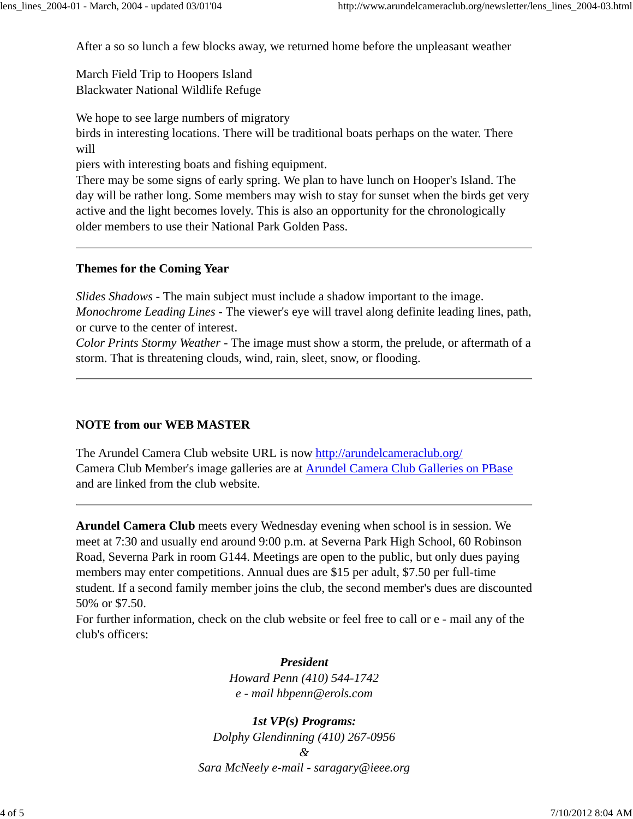After a so so lunch a few blocks away, we returned home before the unpleasant weather

March Field Trip to Hoopers Island Blackwater National Wildlife Refuge

We hope to see large numbers of migratory

birds in interesting locations. There will be traditional boats perhaps on the water. There will

piers with interesting boats and fishing equipment.

There may be some signs of early spring. We plan to have lunch on Hooper's Island. The day will be rather long. Some members may wish to stay for sunset when the birds get very active and the light becomes lovely. This is also an opportunity for the chronologically older members to use their National Park Golden Pass.

## **Themes for the Coming Year**

*Slides Shadows* - The main subject must include a shadow important to the image. *Monochrome Leading Lines* - The viewer's eye will travel along definite leading lines, path, or curve to the center of interest.

*Color Prints Stormy Weather* - The image must show a storm, the prelude, or aftermath of a storm. That is threatening clouds, wind, rain, sleet, snow, or flooding.

# **NOTE from our WEB MASTER**

The Arundel Camera Club website URL is now http://arundelcameraclub.org/ Camera Club Member's image galleries are at Arundel Camera Club Galleries on PBase and are linked from the club website.

**Arundel Camera Club** meets every Wednesday evening when school is in session. We meet at 7:30 and usually end around 9:00 p.m. at Severna Park High School, 60 Robinson Road, Severna Park in room G144. Meetings are open to the public, but only dues paying members may enter competitions. Annual dues are \$15 per adult, \$7.50 per full-time student. If a second family member joins the club, the second member's dues are discounted 50% or \$7.50.

For further information, check on the club website or feel free to call or e - mail any of the club's officers:

> *President Howard Penn (410) 544-1742 e - mail hbpenn@erols.com*

*1st VP(s) Programs: Dolphy Glendinning (410) 267-0956 & Sara McNeely e-mail - saragary@ieee.org*